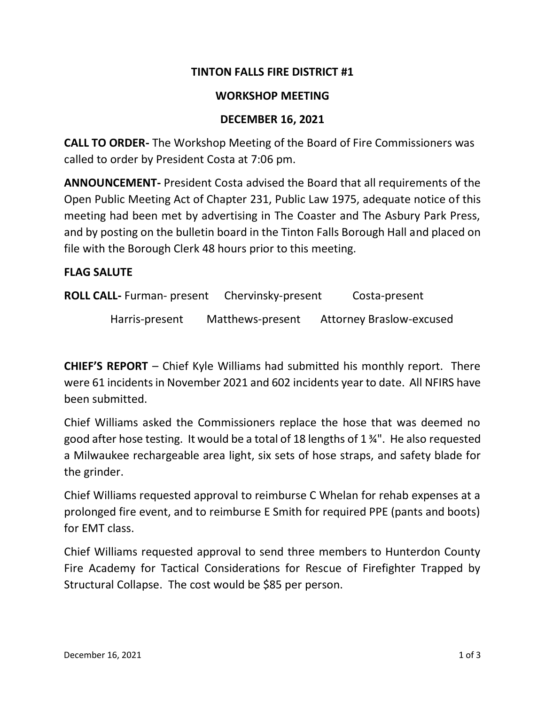# **TINTON FALLS FIRE DISTRICT #1**

### **WORKSHOP MEETING**

### **DECEMBER 16, 2021**

**CALL TO ORDER-** The Workshop Meeting of the Board of Fire Commissioners was called to order by President Costa at 7:06 pm.

**ANNOUNCEMENT-** President Costa advised the Board that all requirements of the Open Public Meeting Act of Chapter 231, Public Law 1975, adequate notice of this meeting had been met by advertising in The Coaster and The Asbury Park Press, and by posting on the bulletin board in the Tinton Falls Borough Hall and placed on file with the Borough Clerk 48 hours prior to this meeting.

#### **FLAG SALUTE**

**ROLL CALL-** Furman- present Chervinsky-present Costa-present

Harris-present Matthews-present Attorney Braslow-excused

**CHIEF'S REPORT** – Chief Kyle Williams had submitted his monthly report. There were 61 incidents in November 2021 and 602 incidents year to date. All NFIRS have been submitted.

Chief Williams asked the Commissioners replace the hose that was deemed no good after hose testing. It would be a total of 18 lengths of 1 ¾". He also requested a Milwaukee rechargeable area light, six sets of hose straps, and safety blade for the grinder.

Chief Williams requested approval to reimburse C Whelan for rehab expenses at a prolonged fire event, and to reimburse E Smith for required PPE (pants and boots) for EMT class.

Chief Williams requested approval to send three members to Hunterdon County Fire Academy for Tactical Considerations for Rescue of Firefighter Trapped by Structural Collapse. The cost would be \$85 per person.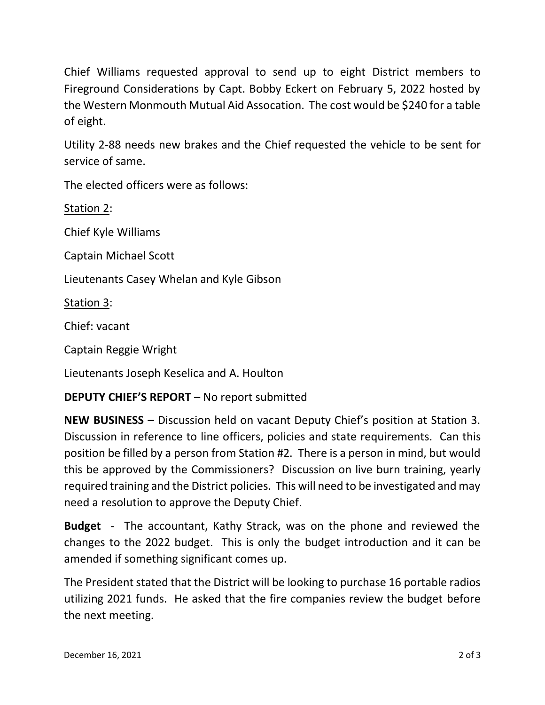Chief Williams requested approval to send up to eight District members to Fireground Considerations by Capt. Bobby Eckert on February 5, 2022 hosted by the Western Monmouth Mutual Aid Assocation. The cost would be \$240 for a table of eight.

Utility 2-88 needs new brakes and the Chief requested the vehicle to be sent for service of same.

The elected officers were as follows:

Station 2:

Chief Kyle Williams

Captain Michael Scott

Lieutenants Casey Whelan and Kyle Gibson

Station 3:

Chief: vacant

Captain Reggie Wright

Lieutenants Joseph Keselica and A. Houlton

# **DEPUTY CHIEF'S REPORT** – No report submitted

**NEW BUSINESS –** Discussion held on vacant Deputy Chief's position at Station 3. Discussion in reference to line officers, policies and state requirements. Can this position be filled by a person from Station #2. There is a person in mind, but would this be approved by the Commissioners? Discussion on live burn training, yearly required training and the District policies. This will need to be investigated and may need a resolution to approve the Deputy Chief.

**Budget** - The accountant, Kathy Strack, was on the phone and reviewed the changes to the 2022 budget. This is only the budget introduction and it can be amended if something significant comes up.

The President stated that the District will be looking to purchase 16 portable radios utilizing 2021 funds. He asked that the fire companies review the budget before the next meeting.